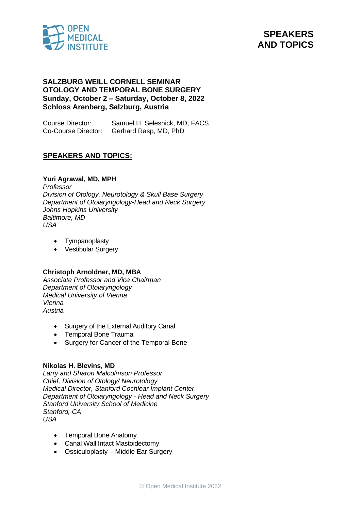



## **SALZBURG WEILL CORNELL SEMINAR OTOLOGY AND TEMPORAL BONE SURGERY Sunday, October 2 – Saturday, October 8, 2022 Schloss Arenberg, Salzburg, Austria**

Course Director: Samuel H. Selesnick, MD, FACS Co-Course Director: Gerhard Rasp, MD, PhD

# **SPEAKERS AND TOPICS:**

### **Yuri Agrawal, MD, MPH**

*Professor Division of Otology, Neurotology & Skull Base Surgery Department of Otolaryngology-Head and Neck Surgery Johns Hopkins University Baltimore, MD USA*

- Tympanoplasty
- Vestibular Surgery

### **Christoph Arnoldner, MD, MBA**

*Associate Professor and Vice Chairman Department of Otolaryngology Medical University of Vienna Vienna Austria*

- Surgery of the External Auditory Canal
- Temporal Bone Trauma
- Surgery for Cancer of the Temporal Bone

### **Nikolas H. Blevins, MD**

*Larry and Sharon Malcolmson Professor Chief, Division of Otology/ Neurotology Medical Director, Stanford Cochlear Implant Center Department of Otolaryngology - Head and Neck Surgery Stanford University School of Medicine Stanford, CA USA*

- Temporal Bone Anatomy
- Canal Wall Intact Mastoidectomy
- Ossiculoplasty Middle Ear Surgery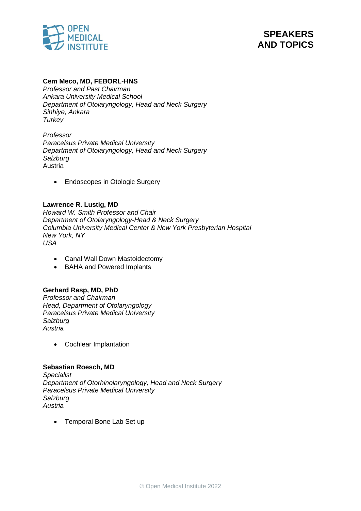



### **Cem Meco, MD, FEBORL-HNS**

*Professor and Past Chairman Ankara University Medical School Department of Otolaryngology, Head and Neck Surgery Sihhiye, Ankara Turkey*

*Professor Paracelsus Private Medical University Department of Otolaryngology, Head and Neck Surgery Salzburg* Austria

• Endoscopes in Otologic Surgery

### **Lawrence R. Lustig, MD**

*Howard W. Smith Professor and Chair Department of Otolaryngology-Head & Neck Surgery Columbia University Medical Center & New York Presbyterian Hospital New York, NY USA*

- Canal Wall Down Mastoidectomy
- BAHA and Powered Implants

# **Gerhard Rasp, MD, PhD**

*Professor and Chairman Head, Department of Otolaryngology Paracelsus Private Medical University Salzburg Austria*

• Cochlear Implantation

### **Sebastian Roesch, MD**

*Specialist Department of Otorhinolaryngology, Head and Neck Surgery Paracelsus Private Medical University Salzburg Austria*

• Temporal Bone Lab Set up